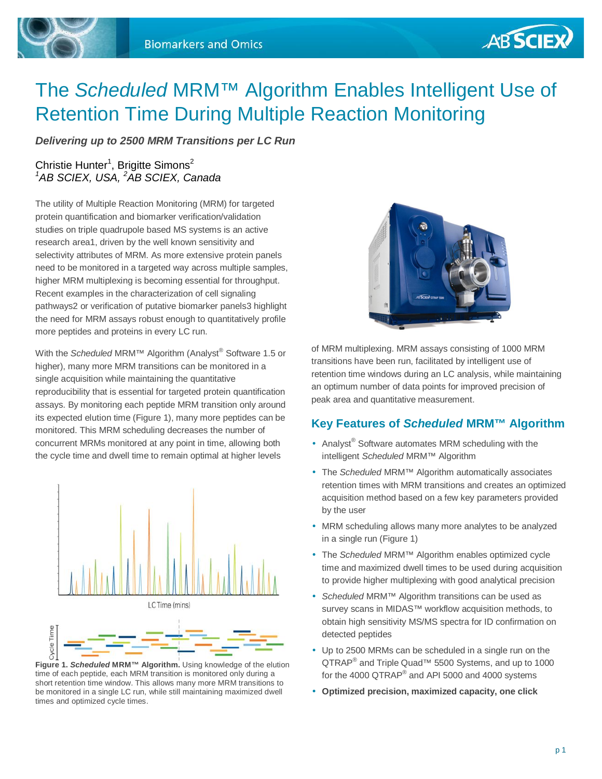

# The *Scheduled* MRM™ Algorithm Enables Intelligent Use of Retention Time During Multiple Reaction Monitoring

*Delivering up to 2500 MRM Transitions per LC Run* 

## Christie Hunter<sup>1</sup>, Brigitte Simons<sup>2</sup> *<sup>1</sup>AB SCIEX, USA, <sup>2</sup>AB SCIEX, Canada*

The utility of Multiple Reaction Monitoring (MRM) for targeted protein quantification and biomarker verification/validation studies on triple quadrupole based MS systems is an active research area1, driven by the well known sensitivity and selectivity attributes of MRM. As more extensive protein panels need to be monitored in a targeted way across multiple samples, higher MRM multiplexing is becoming essential for throughput. Recent examples in the characterization of cell signaling pathways2 or verification of putative biomarker panels3 highlight the need for MRM assays robust enough to quantitatively profile more peptides and proteins in every LC run.

With the *Scheduled* MRM™ Algorithm (Analyst® Software 1.5 or higher), many more MRM transitions can be monitored in a single acquisition while maintaining the quantitative reproducibility that is essential for targeted protein quantification assays. By monitoring each peptide MRM transition only around its expected elution time (Figure 1), many more peptides can be monitored. This MRM scheduling decreases the number of concurrent MRMs monitored at any point in time, allowing both the cycle time and dwell time to remain optimal at higher levels



**Figure 1.** *Scheduled* **MRM™ Algorithm.** Using knowledge of the elution time of each peptide, each MRM transition is monitored only during a short retention time window. This allows many more MRM transitions to be monitored in a single LC run, while still maintaining maximized dwell times and optimized cycle times.



of MRM multiplexing. MRM assays consisting of 1000 MRM transitions have been run, facilitated by intelligent use of retention time windows during an LC analysis, while maintaining an optimum number of data points for improved precision of peak area and quantitative measurement.

## **Key Features of** *Scheduled* **MRM™ Algorithm**

- Analyst<sup>®</sup> Software automates MRM scheduling with the intelligent *Scheduled* MRM™ Algorithm
- The *Scheduled* MRM™ Algorithm automatically associates retention times with MRM transitions and creates an optimized acquisition method based on a few key parameters provided by the user
- MRM scheduling allows many more analytes to be analyzed in a single run (Figure 1)
- The *Scheduled* MRM™ Algorithm enables optimized cycle time and maximized dwell times to be used during acquisition to provide higher multiplexing with good analytical precision
- *Scheduled* MRM™ Algorithm transitions can be used as survey scans in MIDAS™ workflow acquisition methods, to obtain high sensitivity MS/MS spectra for ID confirmation on detected peptides
- Up to 2500 MRMs can be scheduled in a single run on the  $QTRAP^®$  and Triple Quad™ 5500 Systems, and up to 1000 for the 4000 QTRAP $^{\circ}$  and API 5000 and 4000 systems
- **Optimized precision, maximized capacity, one click**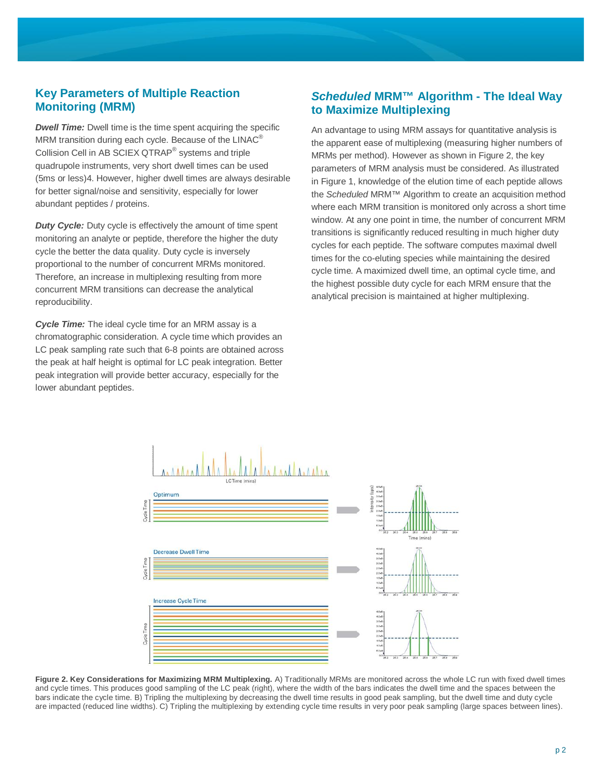## **Key Parameters of Multiple Reaction Monitoring (MRM)**

**Dwell Time:** Dwell time is the time spent acquiring the specific MRM transition during each cycle. Because of the LINAC<sup>®</sup> Collision Cell in AB SCIEX QTRAP<sup>®</sup> systems and triple quadrupole instruments, very short dwell times can be used (5ms or less)4. However, higher dwell times are always desirable for better signal/noise and sensitivity, especially for lower abundant peptides / proteins.

*Duty Cycle:* Duty cycle is effectively the amount of time spent monitoring an analyte or peptide, therefore the higher the duty cycle the better the data quality. Duty cycle is inversely proportional to the number of concurrent MRMs monitored. Therefore, an increase in multiplexing resulting from more concurrent MRM transitions can decrease the analytical reproducibility.

*Cycle Time:* The ideal cycle time for an MRM assay is a chromatographic consideration. A cycle time which provides an LC peak sampling rate such that 6-8 points are obtained across the peak at half height is optimal for LC peak integration. Better peak integration will provide better accuracy, especially for the lower abundant peptides.

## *Scheduled* **MRM™ Algorithm - The Ideal Way to Maximize Multiplexing**

An advantage to using MRM assays for quantitative analysis is the apparent ease of multiplexing (measuring higher numbers of MRMs per method). However as shown in Figure 2, the key parameters of MRM analysis must be considered. As illustrated in Figure 1, knowledge of the elution time of each peptide allows the *Scheduled* MRM™ Algorithm to create an acquisition method where each MRM transition is monitored only across a short time window. At any one point in time, the number of concurrent MRM transitions is significantly reduced resulting in much higher duty cycles for each peptide. The software computes maximal dwell times for the co-eluting species while maintaining the desired cycle time. A maximized dwell time, an optimal cycle time, and the highest possible duty cycle for each MRM ensure that the analytical precision is maintained at higher multiplexing.



**Figure 2. Key Considerations for Maximizing MRM Multiplexing.** A) Traditionally MRMs are monitored across the whole LC run with fixed dwell times and cycle times. This produces good sampling of the LC peak (right), where the width of the bars indicates the dwell time and the spaces between the bars indicate the cycle time. B) Tripling the multiplexing by decreasing the dwell time results in good peak sampling, but the dwell time and duty cycle are impacted (reduced line widths). C) Tripling the multiplexing by extending cycle time results in very poor peak sampling (large spaces between lines).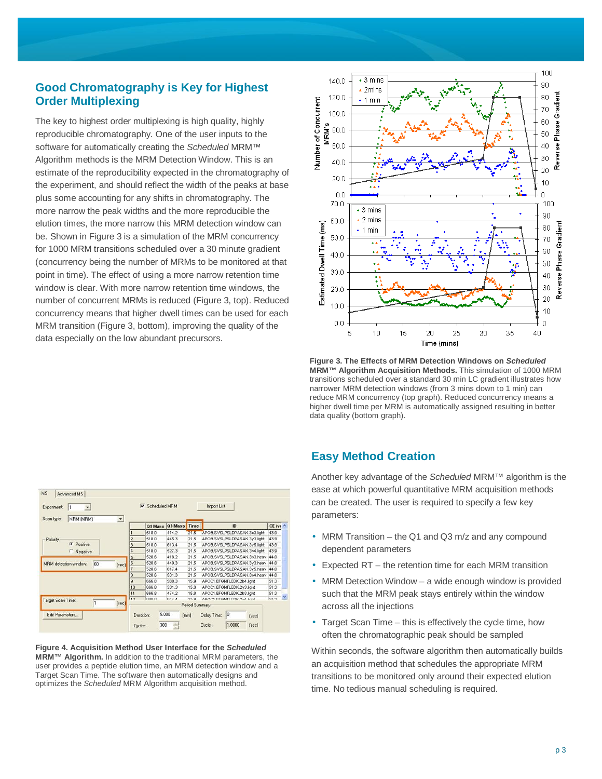## **Good Chromatography is Key for Highest Order Multiplexing**

The key to highest order multiplexing is high quality, highly reproducible chromatography. One of the user inputs to the software for automatically creating the *Scheduled* MRM™ Algorithm methods is the MRM Detection Window. This is an estimate of the reproducibility expected in the chromatography of the experiment, and should reflect the width of the peaks at base plus some accounting for any shifts in chromatography. The more narrow the peak widths and the more reproducible the elution times, the more narrow this MRM detection window can be. Shown in Figure 3 is a simulation of the MRM concurrency for 1000 MRM transitions scheduled over a 30 minute gradient (concurrency being the number of MRMs to be monitored at that point in time). The effect of using a more narrow retention time window is clear. With more narrow retention time windows, the number of concurrent MRMs is reduced (Figure 3, top). Reduced concurrency means that higher dwell times can be used for each MRM transition (Figure 3, bottom), improving the quality of the data especially on the low abundant precursors.



**Figure 3. The Effects of MRM Detection Windows on** *Scheduled* **MRM™ Algorithm Acquisition Methods.** This simulation of 1000 MRM transitions scheduled over a standard 30 min LC gradient illustrates how narrower MRM detection windows (from 3 mins down to 1 min) can reduce MRM concurrency (top graph). Reduced concurrency means a higher dwell time per MRM is automatically assigned resulting in better data quality (bottom graph).

| Experiment:<br>$\blacktriangledown$<br>ᅬ<br>Scan type:<br><b>MRM (MRM)</b> |                | Scheduled MRM<br>$\overline{\mathbf{v}}$ |                 |                       | <b>Import List</b>           |                   |  |
|----------------------------------------------------------------------------|----------------|------------------------------------------|-----------------|-----------------------|------------------------------|-------------------|--|
|                                                                            |                |                                          | 01 Mass 03 Mass | Time                  | ID                           | $CE$ (vc $\wedge$ |  |
|                                                                            |                | 518.0                                    | 414.2           | 21.5                  | APOB.SVSLPSLDPASAK.3b3.light | 43.9              |  |
| Polarity                                                                   | $\overline{2}$ | 518.0                                    | 445.3           | 21.5                  | APOB.SVSLPSLDPASAK.3y3.light | 43.9              |  |
| <b>C</b> Positive                                                          | 3              | 518.0                                    | 613.4           | 21.5                  | APOB.SVSLPSLDPASAK.3y5.light | 43.9              |  |
| Negative                                                                   | 4              | 518.0                                    | 527.3           | 21.5                  | APOB.SVSLPSLDPASAK.3b4.light | 43.9              |  |
|                                                                            | 5              | 520.6                                    | 418.2           | 21.5                  | APOB SVSLPSLDPASAK 3b3 heav  | 44.0              |  |
| 60<br>MRM detection window:<br>[sec]                                       | İ6             | 520.6                                    | 449.3           | 21.5                  | APOB.SVSLPSLDPASAK.3y3.heav  | 44.0              |  |
|                                                                            | 7              | 520.6                                    | 617.4           | 21.5                  | APOB.SVSLPSLDPASAK.3y5.heav  | 44.0              |  |
|                                                                            | 8              | 520.6                                    | 531.3           | 21.5                  | APOB.SVSLPSLDPASAK.3b4.heav  | 44.0              |  |
|                                                                            | $\overline{9}$ | 666.8                                    | 588.3           | 15.9                  | APOC1.EFGNTLEDK.2b4.light    | 51.3              |  |
|                                                                            |                | 666.8                                    | 531.3           | 15.9                  | APOC1.EFGNTLEDK.2y3.light    | 51.3              |  |
|                                                                            | 11             | 666.8                                    | 474.2           | 15.8                  | APOC1.EFGNTLEDK.2b3.light    | 51.3              |  |
| Target Scan Time:<br>h<br>[sec]                                            | $\sqrt{42}$    | lece o                                   | <b>CAA 4</b>    | 450<br>Period Summary | ABOC1 EEOMTLEDV Out liabl    | 51.2              |  |
| Edit Parameters                                                            | Duration:      |                                          | 5.000           | (min)                 | 0<br>Delay Time:<br>[sec]    |                   |  |
|                                                                            | Cycles:        | 300                                      | ÷               |                       | 1,0000<br>Cycle:<br>[sec]    |                   |  |

**Figure 4. Acquisition Method User Interface for the** *Scheduled* **MRM™ Algorithm.** In addition to the traditional MRM parameters, the user provides a peptide elution time, an MRM detection window and a Target Scan Time. The software then automatically designs and optimizes the *Scheduled* MRM Algorithm acquisition method.

#### **Easy Method Creation**

Another key advantage of the *Scheduled* MRM™ algorithm is the ease at which powerful quantitative MRM acquisition methods can be created. The user is required to specify a few key parameters:

- MRM Transition the Q1 and Q3 m/z and any compound dependent parameters
- Expected RT the retention time for each MRM transition
- MRM Detection Window a wide enough window is provided such that the MRM peak stays entirely within the window across all the injections
- Target Scan Time this is effectively the cycle time, how often the chromatographic peak should be sampled

Within seconds, the software algorithm then automatically builds an acquisition method that schedules the appropriate MRM transitions to be monitored only around their expected elution time. No tedious manual scheduling is required.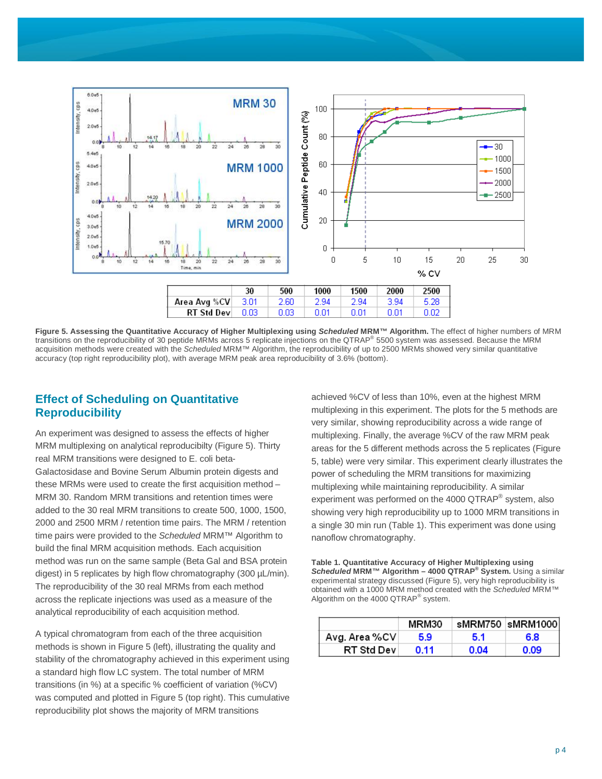

**Figure 5. Assessing the Quantitative Accuracy of Higher Multiplexing using** *Scheduled* **MRM™ Algorithm.** The effect of higher numbers of MRM transitions on the reproducibility of 30 peptide MRMs across 5 replicate injections on the QTRAP® 5500 system was assessed. Because the MRM acquisition methods were created with the *Scheduled* MRM™ Algorithm, the reproducibility of up to 2500 MRMs showed very similar quantitative accuracy (top right reproducibility plot), with average MRM peak area reproducibility of 3.6% (bottom).

#### **Effect of Scheduling on Quantitative Reproducibility**

An experiment was designed to assess the effects of higher MRM multiplexing on analytical reproducibilty (Figure 5). Thirty real MRM transitions were designed to E. coli beta-Galactosidase and Bovine Serum Albumin protein digests and these MRMs were used to create the first acquisition method – MRM 30. Random MRM transitions and retention times were added to the 30 real MRM transitions to create 500, 1000, 1500, 2000 and 2500 MRM / retention time pairs. The MRM / retention time pairs were provided to the *Scheduled* MRM™ Algorithm to build the final MRM acquisition methods. Each acquisition method was run on the same sample (Beta Gal and BSA protein digest) in 5 replicates by high flow chromatography (300 µL/min). The reproducibility of the 30 real MRMs from each method across the replicate injections was used as a measure of the analytical reproducibility of each acquisition method.

A typical chromatogram from each of the three acquisition methods is shown in Figure 5 (left), illustrating the quality and stability of the chromatography achieved in this experiment using a standard high flow LC system. The total number of MRM transitions (in %) at a specific % coefficient of variation (%CV) was computed and plotted in Figure 5 (top right). This cumulative reproducibility plot shows the majority of MRM transitions

achieved %CV of less than 10%, even at the highest MRM multiplexing in this experiment. The plots for the 5 methods are very similar, showing reproducibility across a wide range of multiplexing. Finally, the average %CV of the raw MRM peak areas for the 5 different methods across the 5 replicates (Figure 5, table) were very similar. This experiment clearly illustrates the power of scheduling the MRM transitions for maximizing multiplexing while maintaining reproducibility. A similar experiment was performed on the 4000 QTRAP<sup>®</sup> system, also showing very high reproducibility up to 1000 MRM transitions in a single 30 min run (Table 1). This experiment was done using nanoflow chromatography.

**Table 1. Quantitative Accuracy of Higher Multiplexing using**  *Scheduled* **MRM™ Algorithm – 4000 QTRAP® System.** Using a similar experimental strategy discussed (Figure 5), very high reproducibility is obtained with a 1000 MRM method created with the *Scheduled* MRM™ Algorithm on the 4000  $QTRAP^{\circledast}$  system.

|                   | MRM30 |      | sMRM750  sMRM1000 |
|-------------------|-------|------|-------------------|
| Avg. Area %CV     | 5.9   | 51   | 68                |
| <b>RT Std Dev</b> | O 11  | 0.04 | 0.09              |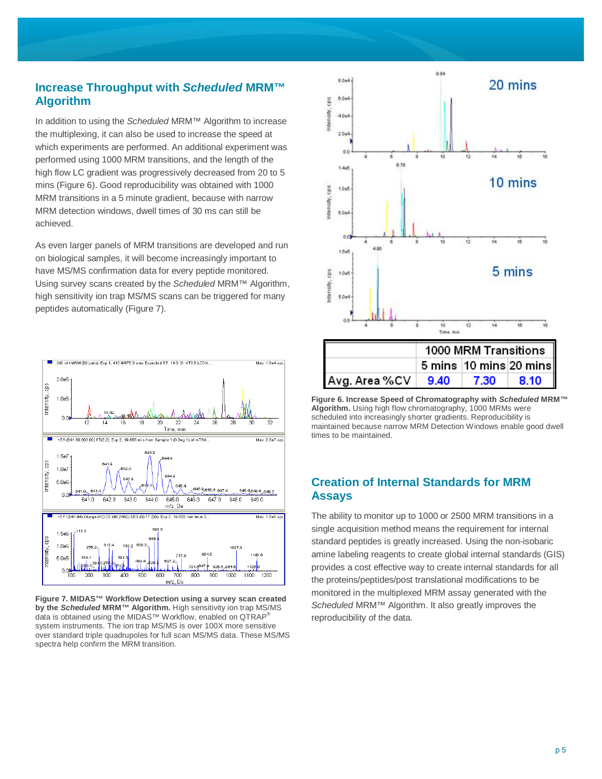## **Increase Throughput with** *Scheduled* **MRM™ Algorithm**

In addition to using the *Scheduled* MRM™ Algorithm to increase the multiplexing, it can also be used to increase the speed at which experiments are performed. An additional experiment was performed using 1000 MRM transitions, and the length of the high flow LC gradient was progressively decreased from 20 to 5 mins (Figure 6). Good reproducibility was obtained with 1000 MRM transitions in a 5 minute gradient, because with narrow MRM detection windows, dwell times of 30 ms can still be achieved.

As even larger panels of MRM transitions are developed and run on biological samples, it will become increasingly important to have MS/MS confirmation data for every peptide monitored. Using survey scans created by the *Scheduled* MRM™ Algorithm, high sensitivity ion trap MS/MS scans can be triggered for many peptides automatically (Figure 7).



**Figure 7. MIDAS™ Workflow Detection using a survey scan created by the** *Scheduled* **MRM™ Algorithm.** High sensitivity ion trap MS/MS data is obtained using the MIDAS™ Workflow, enabled on QTRAP® system instruments. The ion trap MS/MS is over 100X more sensitive over standard triple quadrupoles for full scan MS/MS data. These MS/MS spectra help confirm the MRM transition.



**Figure 6. Increase Speed of Chromatography with** *Scheduled* **MRM™ Algorithm.** Using high flow chromatography, 1000 MRMs were scheduled into increasingly shorter gradients. Reproducibility is maintained because narrow MRM Detection Windows enable good dwell times to be maintained.

## **Creation of Internal Standards for MRM Assays**

The ability to monitor up to 1000 or 2500 MRM transitions in a single acquisition method means the requirement for internal standard peptides is greatly increased. Using the non-isobaric amine labeling reagents to create global internal standards (GIS) provides a cost effective way to create internal standards for all the proteins/peptides/post translational modifications to be monitored in the multiplexed MRM assay generated with the *Scheduled* MRM™ Algorithm. It also greatly improves the reproducibility of the data.